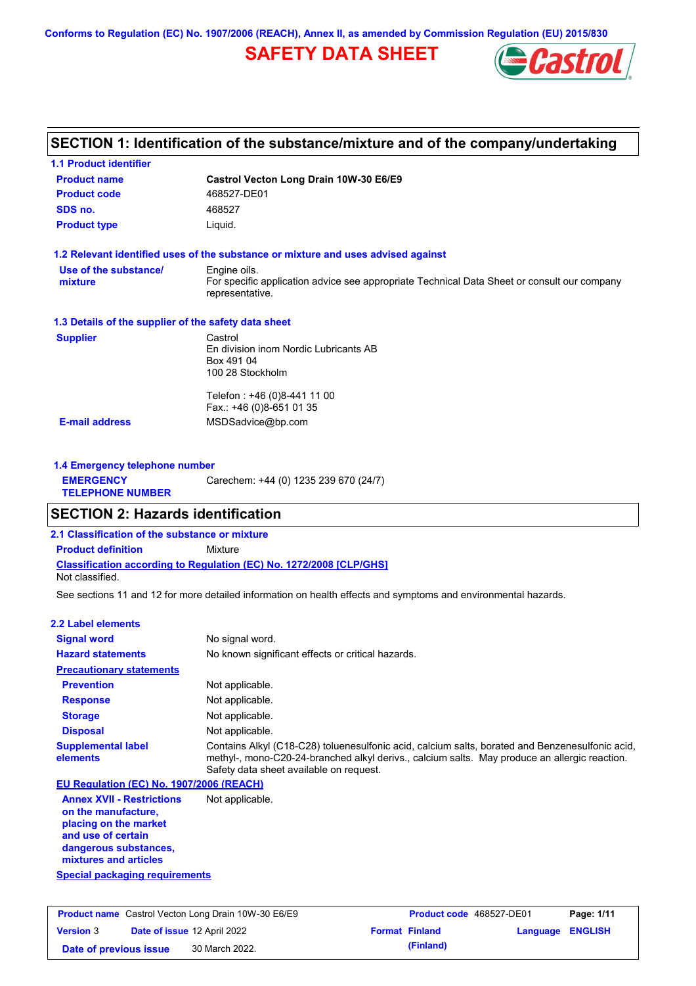**Conforms to Regulation (EC) No. 1907/2006 (REACH), Annex II, as amended by Commission Regulation (EU) 2015/830**

# **SAFETY DATA SHEET**



# **SECTION 1: Identification of the substance/mixture and of the company/undertaking**

| <b>1.1 Product identifier</b>                        |                                                                                                                                |
|------------------------------------------------------|--------------------------------------------------------------------------------------------------------------------------------|
| <b>Product name</b>                                  | Castrol Vecton Long Drain 10W-30 E6/E9                                                                                         |
| <b>Product code</b>                                  | 468527-DE01                                                                                                                    |
| SDS no.                                              | 468527                                                                                                                         |
| <b>Product type</b>                                  | Liquid.                                                                                                                        |
|                                                      | 1.2 Relevant identified uses of the substance or mixture and uses advised against                                              |
| Use of the substance/<br>mixture                     | Engine oils.<br>For specific application advice see appropriate Technical Data Sheet or consult our company<br>representative. |
| 1.3 Details of the supplier of the safety data sheet |                                                                                                                                |
| <b>Supplier</b>                                      | Castrol<br>En division inom Nordic Lubricants AB<br>Box 491 04<br>100 28 Stockholm                                             |
|                                                      | Telefon: +46 (0)8-441 11 00<br>Fax.: +46 (0)8-651 01 35                                                                        |
| <b>E-mail address</b>                                | MSDSadvice@bp.com                                                                                                              |
| 1.4 Emergency telephone number                       |                                                                                                                                |
| <b>EMERGENCY</b><br><b>TELEPHONE NUMBER</b>          | Carechem: +44 (0) 1235 239 670 (24/7)                                                                                          |
| <b>SECTION 2: Hazards identification</b>             |                                                                                                                                |
| 2.1 Classification of the substance or mixture       |                                                                                                                                |
| <b>Product definition</b>                            | Mixture                                                                                                                        |
| Not classified.                                      | Classification according to Regulation (EC) No. 1272/2008 [CLP/GHS]                                                            |
|                                                      | See sections 11 and 12 for more detailed information on health effects and symptoms and environmental hazards.                 |
| 2.2 Label elements                                   |                                                                                                                                |
| <b>Signal word</b>                                   | No signal word.                                                                                                                |
| <b>Hazard statements</b>                             | No known significant effects or critical hazards.                                                                              |
| <b>Precautionary statements</b>                      |                                                                                                                                |
| <b>Drovention</b>                                    | Not applicable                                                                                                                 |

| <b>Prevention</b>                                                                                                               | Not applicable.                                                                                                                                                                                                                             |
|---------------------------------------------------------------------------------------------------------------------------------|---------------------------------------------------------------------------------------------------------------------------------------------------------------------------------------------------------------------------------------------|
| <b>Response</b>                                                                                                                 | Not applicable.                                                                                                                                                                                                                             |
| <b>Storage</b>                                                                                                                  | Not applicable.                                                                                                                                                                                                                             |
| <b>Disposal</b>                                                                                                                 | Not applicable.                                                                                                                                                                                                                             |
| <b>Supplemental label</b><br>elements                                                                                           | Contains Alkyl (C18-C28) toluenesulfonic acid, calcium salts, borated and Benzenesulfonic acid,<br>methyl-, mono-C20-24-branched alkyl derivs., calcium salts. May produce an allergic reaction.<br>Safety data sheet available on request. |
| EU Regulation (EC) No. 1907/2006 (REACH)                                                                                        |                                                                                                                                                                                                                                             |
| <b>Annex XVII - Restrictions</b><br>on the manufacture.<br>placing on the market<br>and use of certain<br>dangerous substances, | Not applicable.                                                                                                                                                                                                                             |

**Special packaging requirements mixtures and articles**

| <b>Product name</b> Castrol Vecton Long Drain 10W-30 E6/E9 |  |                             | <b>Product code</b> 468527-DE01 |                       | Page: 1/11              |  |
|------------------------------------------------------------|--|-----------------------------|---------------------------------|-----------------------|-------------------------|--|
| <b>Version 3</b>                                           |  | Date of issue 12 April 2022 |                                 | <b>Format Finland</b> | <b>Language ENGLISH</b> |  |
| Date of previous issue                                     |  | 30 March 2022.              |                                 | (Finland)             |                         |  |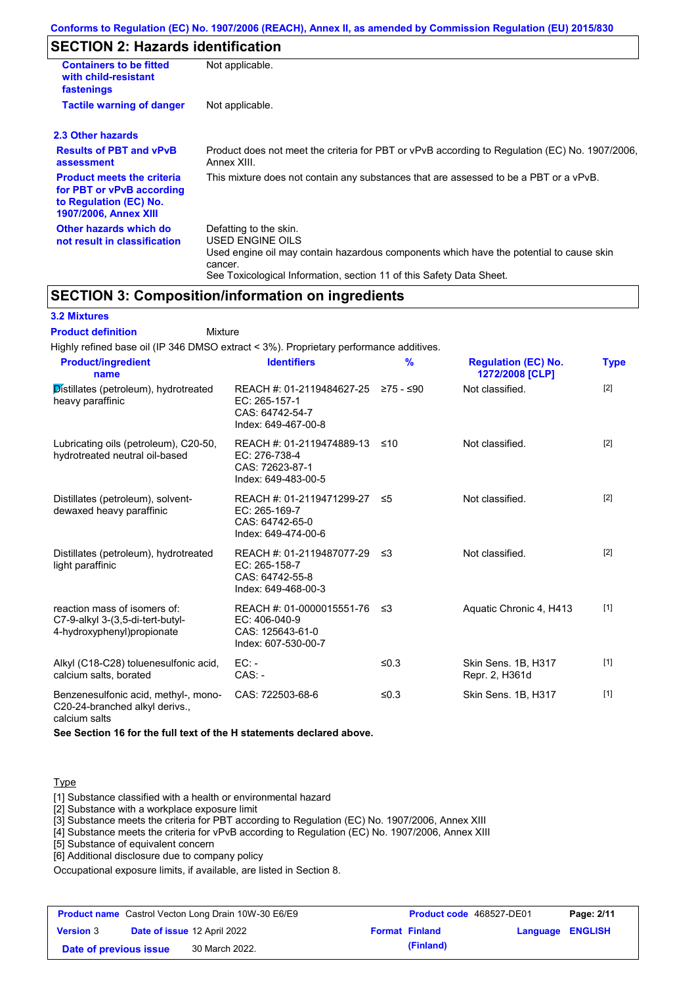### **SECTION 2: Hazards identification**

| <b>Containers to be fitted</b><br>with child-resistant<br>fastenings                                                     | Not applicable.                                                                                                                                                                                                          |
|--------------------------------------------------------------------------------------------------------------------------|--------------------------------------------------------------------------------------------------------------------------------------------------------------------------------------------------------------------------|
| <b>Tactile warning of danger</b>                                                                                         | Not applicable.                                                                                                                                                                                                          |
| 2.3 Other hazards                                                                                                        |                                                                                                                                                                                                                          |
| <b>Results of PBT and vPvB</b><br>assessment                                                                             | Product does not meet the criteria for PBT or vPvB according to Regulation (EC) No. 1907/2006,<br>Annex XIII.                                                                                                            |
| <b>Product meets the criteria</b><br>for PBT or vPvB according<br>to Regulation (EC) No.<br><b>1907/2006, Annex XIII</b> | This mixture does not contain any substances that are assessed to be a PBT or a vPvB.                                                                                                                                    |
| Other hazards which do<br>not result in classification                                                                   | Defatting to the skin.<br>USED ENGINE OILS<br>Used engine oil may contain hazardous components which have the potential to cause skin<br>cancer.<br>See Toxicological Information, section 11 of this Safety Data Sheet. |

### **SECTION 3: Composition/information on ingredients**

#### **3.2 Mixtures**

Mixture **Product definition**

| Highly refined base oil (IP 346 DMSO extract < 3%). Proprietary performance additives.          |                                                                                       |           |                                               |             |
|-------------------------------------------------------------------------------------------------|---------------------------------------------------------------------------------------|-----------|-----------------------------------------------|-------------|
| <b>Product/ingredient</b><br>name                                                               | <b>Identifiers</b>                                                                    | %         | <b>Regulation (EC) No.</b><br>1272/2008 [CLP] | <b>Type</b> |
| Distillates (petroleum), hydrotreated<br>heavy paraffinic                                       | REACH #: 01-2119484627-25<br>EC: 265-157-1<br>CAS: 64742-54-7<br>Index: 649-467-00-8  | ≥75 - ≤90 | Not classified.                               | $[2]$       |
| Lubricating oils (petroleum), C20-50,<br>hydrotreated neutral oil-based                         | REACH #: 01-2119474889-13<br>EC: 276-738-4<br>CAS: 72623-87-1<br>Index: 649-483-00-5  | ≤10       | Not classified.                               | $[2]$       |
| Distillates (petroleum), solvent-<br>dewaxed heavy paraffinic                                   | REACH #: 01-2119471299-27<br>EC: 265-169-7<br>CAS: 64742-65-0<br>Index: 649-474-00-6  | ≤5        | Not classified.                               | $[2]$       |
| Distillates (petroleum), hydrotreated<br>light paraffinic                                       | REACH #: 01-2119487077-29<br>EC: 265-158-7<br>CAS: 64742-55-8<br>Index: 649-468-00-3  | -≤3       | Not classified.                               | $[2]$       |
| reaction mass of isomers of:<br>C7-9-alkyl 3-(3,5-di-tert-butyl-<br>4-hydroxyphenyl) propionate | REACH #: 01-0000015551-76<br>EC: 406-040-9<br>CAS: 125643-61-0<br>Index: 607-530-00-7 | -≤3       | Aquatic Chronic 4, H413                       | $[1]$       |
| Alkyl (C18-C28) toluenesulfonic acid,<br>calcium salts, borated                                 | $EC: -$<br>$CAS. -$                                                                   | ≤ $0.3$   | Skin Sens. 1B, H317<br>Repr. 2, H361d         | $[1]$       |
| Benzenesulfonic acid, methyl-, mono-<br>C20-24-branched alkyl derivs.,                          | CAS: 722503-68-6                                                                      | ≤ $0.3$   | Skin Sens. 1B, H317                           | $[1]$       |

calcium salts

**See Section 16 for the full text of the H statements declared above.**

#### **Type**

[1] Substance classified with a health or environmental hazard

[2] Substance with a workplace exposure limit

[3] Substance meets the criteria for PBT according to Regulation (EC) No. 1907/2006, Annex XIII

[4] Substance meets the criteria for vPvB according to Regulation (EC) No. 1907/2006, Annex XIII

[5] Substance of equivalent concern

[6] Additional disclosure due to company policy

Occupational exposure limits, if available, are listed in Section 8.

| <b>Product name</b> Castrol Vecton Long Drain 10W-30 E6/E9 |  | Product code 468527-DE01           |  | Page: 2/11            |                  |  |
|------------------------------------------------------------|--|------------------------------------|--|-----------------------|------------------|--|
| <b>Version 3</b>                                           |  | <b>Date of issue 12 April 2022</b> |  | <b>Format Finland</b> | Language ENGLISH |  |
| Date of previous issue                                     |  | 30 March 2022.                     |  | (Finland)             |                  |  |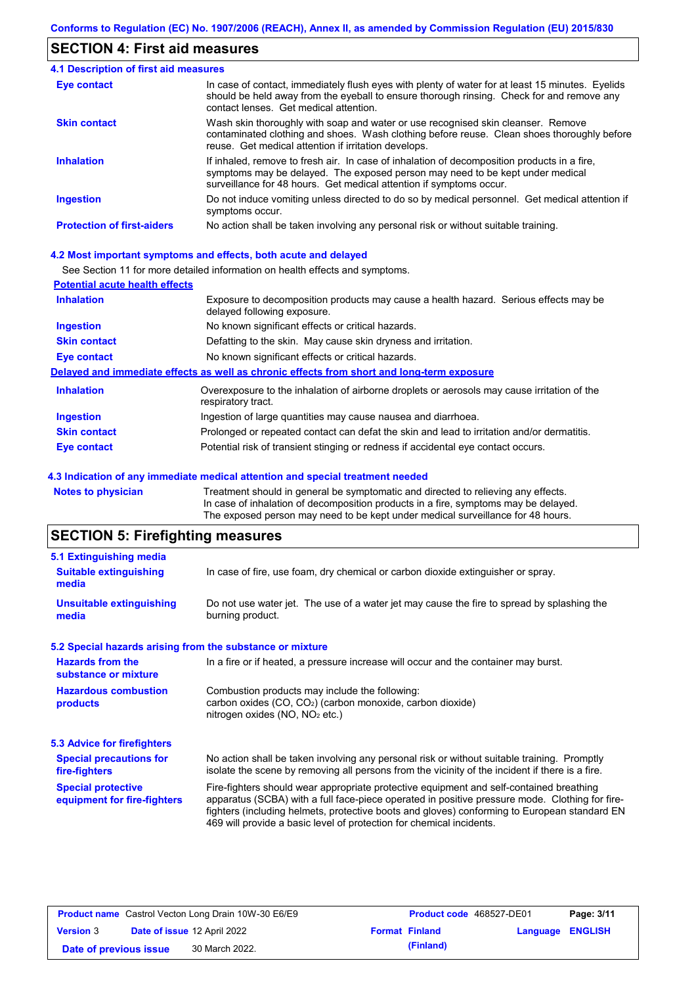### **SECTION 4: First aid measures**

| 4.1 Description of first aid measures |                                                                                                                                                                                                                                                     |
|---------------------------------------|-----------------------------------------------------------------------------------------------------------------------------------------------------------------------------------------------------------------------------------------------------|
| Eye contact                           | In case of contact, immediately flush eyes with plenty of water for at least 15 minutes. Eyelids<br>should be held away from the eyeball to ensure thorough rinsing. Check for and remove any<br>contact lenses. Get medical attention.             |
| <b>Skin contact</b>                   | Wash skin thoroughly with soap and water or use recognised skin cleanser. Remove<br>contaminated clothing and shoes. Wash clothing before reuse. Clean shoes thoroughly before<br>reuse. Get medical attention if irritation develops.              |
| <b>Inhalation</b>                     | If inhaled, remove to fresh air. In case of inhalation of decomposition products in a fire,<br>symptoms may be delayed. The exposed person may need to be kept under medical<br>surveillance for 48 hours. Get medical attention if symptoms occur. |
| <b>Ingestion</b>                      | Do not induce vomiting unless directed to do so by medical personnel. Get medical attention if<br>symptoms occur.                                                                                                                                   |
| <b>Protection of first-aiders</b>     | No action shall be taken involving any personal risk or without suitable training.                                                                                                                                                                  |

#### **4.2 Most important symptoms and effects, both acute and delayed**

See Section 11 for more detailed information on health effects and symptoms.

| <b>Potential acute health effects</b> |                                                                                                                     |
|---------------------------------------|---------------------------------------------------------------------------------------------------------------------|
| <b>Inhalation</b>                     | Exposure to decomposition products may cause a health hazard. Serious effects may be<br>delayed following exposure. |
| <b>Ingestion</b>                      | No known significant effects or critical hazards.                                                                   |
| <b>Skin contact</b>                   | Defatting to the skin. May cause skin dryness and irritation.                                                       |
| <b>Eye contact</b>                    | No known significant effects or critical hazards.                                                                   |
|                                       | Delayed and immediate effects as well as chronic effects from short and long-term exposure                          |
| <b>Inhalation</b>                     | Overexposure to the inhalation of airborne droplets or aerosols may cause irritation of the<br>respiratory tract.   |
| <b>Ingestion</b>                      | Ingestion of large quantities may cause nausea and diarrhoea.                                                       |
| <b>Skin contact</b>                   | Prolonged or repeated contact can defat the skin and lead to irritation and/or dermatitis.                          |
| Eye contact                           | Potential risk of transient stinging or redness if accidental eye contact occurs.                                   |
|                                       |                                                                                                                     |

#### **4.3 Indication of any immediate medical attention and special treatment needed**

**Notes to physician** Treatment should in general be symptomatic and directed to relieving any effects. In case of inhalation of decomposition products in a fire, symptoms may be delayed. The exposed person may need to be kept under medical surveillance for 48 hours.

# **SECTION 5: Firefighting measures**

| 5.1 Extinguishing media                                                                                                                                                                          |                                                                                                                                                                                                                                                                                                                                                                   |  |  |  |
|--------------------------------------------------------------------------------------------------------------------------------------------------------------------------------------------------|-------------------------------------------------------------------------------------------------------------------------------------------------------------------------------------------------------------------------------------------------------------------------------------------------------------------------------------------------------------------|--|--|--|
| <b>Suitable extinguishing</b><br>media                                                                                                                                                           | In case of fire, use foam, dry chemical or carbon dioxide extinguisher or spray.                                                                                                                                                                                                                                                                                  |  |  |  |
| <b>Unsuitable extinguishing</b><br>media                                                                                                                                                         | Do not use water jet. The use of a water jet may cause the fire to spread by splashing the<br>burning product.                                                                                                                                                                                                                                                    |  |  |  |
| 5.2 Special hazards arising from the substance or mixture                                                                                                                                        |                                                                                                                                                                                                                                                                                                                                                                   |  |  |  |
| <b>Hazards from the</b><br>substance or mixture                                                                                                                                                  | In a fire or if heated, a pressure increase will occur and the container may burst.                                                                                                                                                                                                                                                                               |  |  |  |
| Combustion products may include the following:<br><b>Hazardous combustion</b><br>carbon oxides $(CO, CO2)$ (carbon monoxide, carbon dioxide)<br>products<br>nitrogen oxides ( $NO$ , $NO2$ etc.) |                                                                                                                                                                                                                                                                                                                                                                   |  |  |  |
| 5.3 Advice for firefighters                                                                                                                                                                      |                                                                                                                                                                                                                                                                                                                                                                   |  |  |  |
| <b>Special precautions for</b><br>fire-fighters                                                                                                                                                  | No action shall be taken involving any personal risk or without suitable training. Promptly<br>isolate the scene by removing all persons from the vicinity of the incident if there is a fire.                                                                                                                                                                    |  |  |  |
| <b>Special protective</b><br>equipment for fire-fighters                                                                                                                                         | Fire-fighters should wear appropriate protective equipment and self-contained breathing<br>apparatus (SCBA) with a full face-piece operated in positive pressure mode. Clothing for fire-<br>fighters (including helmets, protective boots and gloves) conforming to European standard EN<br>469 will provide a basic level of protection for chemical incidents. |  |  |  |

| <b>Product name</b> Castrol Vecton Long Drain 10W-30 E6/E9 |  | <b>Product code</b> 468527-DE01 |  | Page: 3/11            |                  |  |
|------------------------------------------------------------|--|---------------------------------|--|-----------------------|------------------|--|
| <b>Version 3</b>                                           |  | Date of issue 12 April 2022     |  | <b>Format Finland</b> | Language ENGLISH |  |
| Date of previous issue                                     |  | 30 March 2022.                  |  | (Finland)             |                  |  |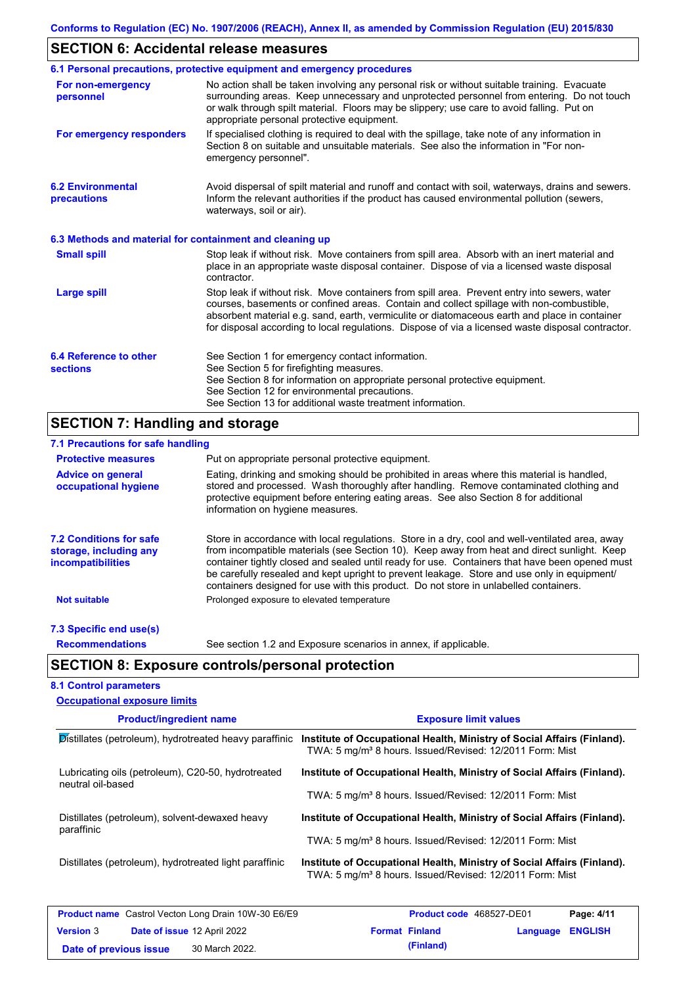# **SECTION 6: Accidental release measures**

|                                                          | 6.1 Personal precautions, protective equipment and emergency procedures                                                                                                                                                                                                                                                                                                                        |  |  |  |
|----------------------------------------------------------|------------------------------------------------------------------------------------------------------------------------------------------------------------------------------------------------------------------------------------------------------------------------------------------------------------------------------------------------------------------------------------------------|--|--|--|
| For non-emergency<br>personnel                           | No action shall be taken involving any personal risk or without suitable training. Evacuate<br>surrounding areas. Keep unnecessary and unprotected personnel from entering. Do not touch<br>or walk through spilt material. Floors may be slippery; use care to avoid falling. Put on<br>appropriate personal protective equipment.                                                            |  |  |  |
| For emergency responders                                 | If specialised clothing is required to deal with the spillage, take note of any information in<br>Section 8 on suitable and unsuitable materials. See also the information in "For non-<br>emergency personnel".                                                                                                                                                                               |  |  |  |
| <b>6.2 Environmental</b><br>precautions                  | Avoid dispersal of spilt material and runoff and contact with soil, waterways, drains and sewers.<br>Inform the relevant authorities if the product has caused environmental pollution (sewers,<br>waterways, soil or air).                                                                                                                                                                    |  |  |  |
| 6.3 Methods and material for containment and cleaning up |                                                                                                                                                                                                                                                                                                                                                                                                |  |  |  |
| <b>Small spill</b>                                       | Stop leak if without risk. Move containers from spill area. Absorb with an inert material and<br>place in an appropriate waste disposal container. Dispose of via a licensed waste disposal<br>contractor.                                                                                                                                                                                     |  |  |  |
| <b>Large spill</b>                                       | Stop leak if without risk. Move containers from spill area. Prevent entry into sewers, water<br>courses, basements or confined areas. Contain and collect spillage with non-combustible,<br>absorbent material e.g. sand, earth, vermiculite or diatomaceous earth and place in container<br>for disposal according to local regulations. Dispose of via a licensed waste disposal contractor. |  |  |  |
| 6.4 Reference to other<br><b>sections</b>                | See Section 1 for emergency contact information.<br>See Section 5 for firefighting measures.<br>See Section 8 for information on appropriate personal protective equipment.<br>See Section 12 for environmental precautions.<br>See Section 13 for additional waste treatment information.                                                                                                     |  |  |  |

# **SECTION 7: Handling and storage**

| 7.1 Precautions for safe handling                                                    |                                                                                                                                                                                                                                                                                                                                                                                                                                                                                          |
|--------------------------------------------------------------------------------------|------------------------------------------------------------------------------------------------------------------------------------------------------------------------------------------------------------------------------------------------------------------------------------------------------------------------------------------------------------------------------------------------------------------------------------------------------------------------------------------|
| <b>Protective measures</b>                                                           | Put on appropriate personal protective equipment.                                                                                                                                                                                                                                                                                                                                                                                                                                        |
| <b>Advice on general</b><br>occupational hygiene                                     | Eating, drinking and smoking should be prohibited in areas where this material is handled,<br>stored and processed. Wash thoroughly after handling. Remove contaminated clothing and<br>protective equipment before entering eating areas. See also Section 8 for additional<br>information on hygiene measures.                                                                                                                                                                         |
| <b>7.2 Conditions for safe</b><br>storage, including any<br><i>incompatibilities</i> | Store in accordance with local regulations. Store in a dry, cool and well-ventilated area, away<br>from incompatible materials (see Section 10). Keep away from heat and direct sunlight. Keep<br>container tightly closed and sealed until ready for use. Containers that have been opened must<br>be carefully resealed and kept upright to prevent leakage. Store and use only in equipment/<br>containers designed for use with this product. Do not store in unlabelled containers. |
| <b>Not suitable</b>                                                                  | Prolonged exposure to elevated temperature                                                                                                                                                                                                                                                                                                                                                                                                                                               |
| 7.3 Specific end use(s)                                                              |                                                                                                                                                                                                                                                                                                                                                                                                                                                                                          |
| <b>Recommendations</b>                                                               | See section 1.2 and Exposure scenarios in annex, if applicable.                                                                                                                                                                                                                                                                                                                                                                                                                          |
|                                                                                      | <b>SECTION 8: Exposure controls/personal protection</b>                                                                                                                                                                                                                                                                                                                                                                                                                                  |
| <b>8.1 Control parameters</b>                                                        |                                                                                                                                                                                                                                                                                                                                                                                                                                                                                          |
| Occupational exposure limits                                                         |                                                                                                                                                                                                                                                                                                                                                                                                                                                                                          |

| <b>Product/ingredient name</b>                                          | <b>Exposure limit values</b>                                                                                                                    |
|-------------------------------------------------------------------------|-------------------------------------------------------------------------------------------------------------------------------------------------|
| $\mathcal{D}$ istillates (petroleum), hydrotreated heavy paraffinic     | Institute of Occupational Health, Ministry of Social Affairs (Finland).<br>TWA: 5 mg/m <sup>3</sup> 8 hours. Issued/Revised: 12/2011 Form: Mist |
| Lubricating oils (petroleum), C20-50, hydrotreated<br>neutral oil-based | Institute of Occupational Health, Ministry of Social Affairs (Finland).                                                                         |
|                                                                         | TWA: 5 mg/m <sup>3</sup> 8 hours. Issued/Revised: 12/2011 Form: Mist                                                                            |
| Distillates (petroleum), solvent-dewaxed heavy<br>paraffinic            | Institute of Occupational Health, Ministry of Social Affairs (Finland).                                                                         |
|                                                                         | TWA: 5 mg/m <sup>3</sup> 8 hours. Issued/Revised: 12/2011 Form: Mist                                                                            |
| Distillates (petroleum), hydrotreated light paraffinic                  | Institute of Occupational Health, Ministry of Social Affairs (Finland).<br>TWA: 5 mg/m <sup>3</sup> 8 hours. Issued/Revised: 12/2011 Form: Mist |

|                        | <b>Product name</b> Castrol Vecton Long Drain 10W-30 E6/E9 | <b>Product code</b> 468527-DE01 |                         | Page: 4/11 |
|------------------------|------------------------------------------------------------|---------------------------------|-------------------------|------------|
| <b>Version</b> 3       | <b>Date of issue 12 April 2022</b>                         | <b>Format Finland</b>           | <b>Language ENGLISH</b> |            |
| Date of previous issue | 30 March 2022.                                             | (Finland)                       |                         |            |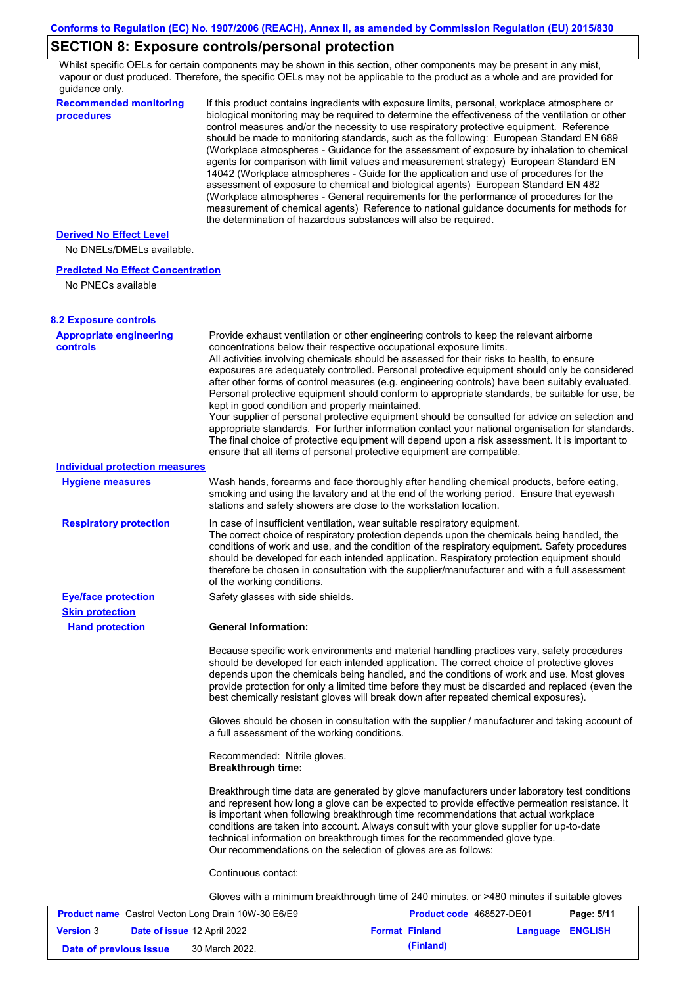### **SECTION 8: Exposure controls/personal protection**

**Version** 3

Whilst specific OELs for certain components may be shown in this section, other components may be present in any mist, vapour or dust produced. Therefore, the specific OELs may not be applicable to the product as a whole and are provided for guidance only.

| <b>Recommended monitoring</b><br>procedures                    | If this product contains ingredients with exposure limits, personal, workplace atmosphere or<br>biological monitoring may be required to determine the effectiveness of the ventilation or other<br>control measures and/or the necessity to use respiratory protective equipment. Reference<br>should be made to monitoring standards, such as the following: European Standard EN 689<br>(Workplace atmospheres - Guidance for the assessment of exposure by inhalation to chemical                                                                                                                                                                                                                                                                                                                                                                                                                                                                                                                   |                          |            |
|----------------------------------------------------------------|---------------------------------------------------------------------------------------------------------------------------------------------------------------------------------------------------------------------------------------------------------------------------------------------------------------------------------------------------------------------------------------------------------------------------------------------------------------------------------------------------------------------------------------------------------------------------------------------------------------------------------------------------------------------------------------------------------------------------------------------------------------------------------------------------------------------------------------------------------------------------------------------------------------------------------------------------------------------------------------------------------|--------------------------|------------|
|                                                                | agents for comparison with limit values and measurement strategy) European Standard EN<br>14042 (Workplace atmospheres - Guide for the application and use of procedures for the<br>assessment of exposure to chemical and biological agents) European Standard EN 482<br>(Workplace atmospheres - General requirements for the performance of procedures for the<br>measurement of chemical agents) Reference to national guidance documents for methods for<br>the determination of hazardous substances will also be required.                                                                                                                                                                                                                                                                                                                                                                                                                                                                       |                          |            |
| <b>Derived No Effect Level</b><br>No DNELs/DMELs available.    |                                                                                                                                                                                                                                                                                                                                                                                                                                                                                                                                                                                                                                                                                                                                                                                                                                                                                                                                                                                                         |                          |            |
| <b>Predicted No Effect Concentration</b><br>No PNECs available |                                                                                                                                                                                                                                                                                                                                                                                                                                                                                                                                                                                                                                                                                                                                                                                                                                                                                                                                                                                                         |                          |            |
| <b>8.2 Exposure controls</b>                                   |                                                                                                                                                                                                                                                                                                                                                                                                                                                                                                                                                                                                                                                                                                                                                                                                                                                                                                                                                                                                         |                          |            |
| <b>Appropriate engineering</b><br><b>controls</b>              | Provide exhaust ventilation or other engineering controls to keep the relevant airborne<br>concentrations below their respective occupational exposure limits.<br>All activities involving chemicals should be assessed for their risks to health, to ensure<br>exposures are adequately controlled. Personal protective equipment should only be considered<br>after other forms of control measures (e.g. engineering controls) have been suitably evaluated.<br>Personal protective equipment should conform to appropriate standards, be suitable for use, be<br>kept in good condition and properly maintained.<br>Your supplier of personal protective equipment should be consulted for advice on selection and<br>appropriate standards. For further information contact your national organisation for standards.<br>The final choice of protective equipment will depend upon a risk assessment. It is important to<br>ensure that all items of personal protective equipment are compatible. |                          |            |
| <b>Individual protection measures</b>                          |                                                                                                                                                                                                                                                                                                                                                                                                                                                                                                                                                                                                                                                                                                                                                                                                                                                                                                                                                                                                         |                          |            |
| <b>Hygiene measures</b>                                        | Wash hands, forearms and face thoroughly after handling chemical products, before eating,<br>smoking and using the lavatory and at the end of the working period. Ensure that eyewash<br>stations and safety showers are close to the workstation location.                                                                                                                                                                                                                                                                                                                                                                                                                                                                                                                                                                                                                                                                                                                                             |                          |            |
| <b>Respiratory protection</b>                                  | In case of insufficient ventilation, wear suitable respiratory equipment.<br>The correct choice of respiratory protection depends upon the chemicals being handled, the<br>conditions of work and use, and the condition of the respiratory equipment. Safety procedures<br>should be developed for each intended application. Respiratory protection equipment should<br>therefore be chosen in consultation with the supplier/manufacturer and with a full assessment<br>of the working conditions.                                                                                                                                                                                                                                                                                                                                                                                                                                                                                                   |                          |            |
| <b>Eye/face protection</b>                                     | Safety glasses with side shields.                                                                                                                                                                                                                                                                                                                                                                                                                                                                                                                                                                                                                                                                                                                                                                                                                                                                                                                                                                       |                          |            |
| <b>Skin protection</b>                                         |                                                                                                                                                                                                                                                                                                                                                                                                                                                                                                                                                                                                                                                                                                                                                                                                                                                                                                                                                                                                         |                          |            |
| <b>Hand protection</b>                                         | <b>General Information:</b>                                                                                                                                                                                                                                                                                                                                                                                                                                                                                                                                                                                                                                                                                                                                                                                                                                                                                                                                                                             |                          |            |
|                                                                | Because specific work environments and material handling practices vary, safety procedures<br>should be developed for each intended application. The correct choice of protective gloves<br>depends upon the chemicals being handled, and the conditions of work and use. Most gloves<br>provide protection for only a limited time before they must be discarded and replaced (even the<br>best chemically resistant gloves will break down after repeated chemical exposures).                                                                                                                                                                                                                                                                                                                                                                                                                                                                                                                        |                          |            |
|                                                                | Gloves should be chosen in consultation with the supplier / manufacturer and taking account of<br>a full assessment of the working conditions.                                                                                                                                                                                                                                                                                                                                                                                                                                                                                                                                                                                                                                                                                                                                                                                                                                                          |                          |            |
|                                                                | Recommended: Nitrile gloves.<br><b>Breakthrough time:</b>                                                                                                                                                                                                                                                                                                                                                                                                                                                                                                                                                                                                                                                                                                                                                                                                                                                                                                                                               |                          |            |
|                                                                | Breakthrough time data are generated by glove manufacturers under laboratory test conditions<br>and represent how long a glove can be expected to provide effective permeation resistance. It<br>is important when following breakthrough time recommendations that actual workplace<br>conditions are taken into account. Always consult with your glove supplier for up-to-date<br>technical information on breakthrough times for the recommended glove type.<br>Our recommendations on the selection of gloves are as follows:                                                                                                                                                                                                                                                                                                                                                                                                                                                                      |                          |            |
|                                                                | Continuous contact:                                                                                                                                                                                                                                                                                                                                                                                                                                                                                                                                                                                                                                                                                                                                                                                                                                                                                                                                                                                     |                          |            |
|                                                                | Gloves with a minimum breakthrough time of 240 minutes, or >480 minutes if suitable gloves                                                                                                                                                                                                                                                                                                                                                                                                                                                                                                                                                                                                                                                                                                                                                                                                                                                                                                              |                          |            |
| <b>Product name</b> Castrol Vecton Long Drain 10W-30 E6/E9     |                                                                                                                                                                                                                                                                                                                                                                                                                                                                                                                                                                                                                                                                                                                                                                                                                                                                                                                                                                                                         | Product code 468527-DE01 | Page: 5/11 |

**Date of issue** 12 April 2022 **Format Finland Language ENGLISH**

**Date of previous issue (Finland)** 30 March 2022.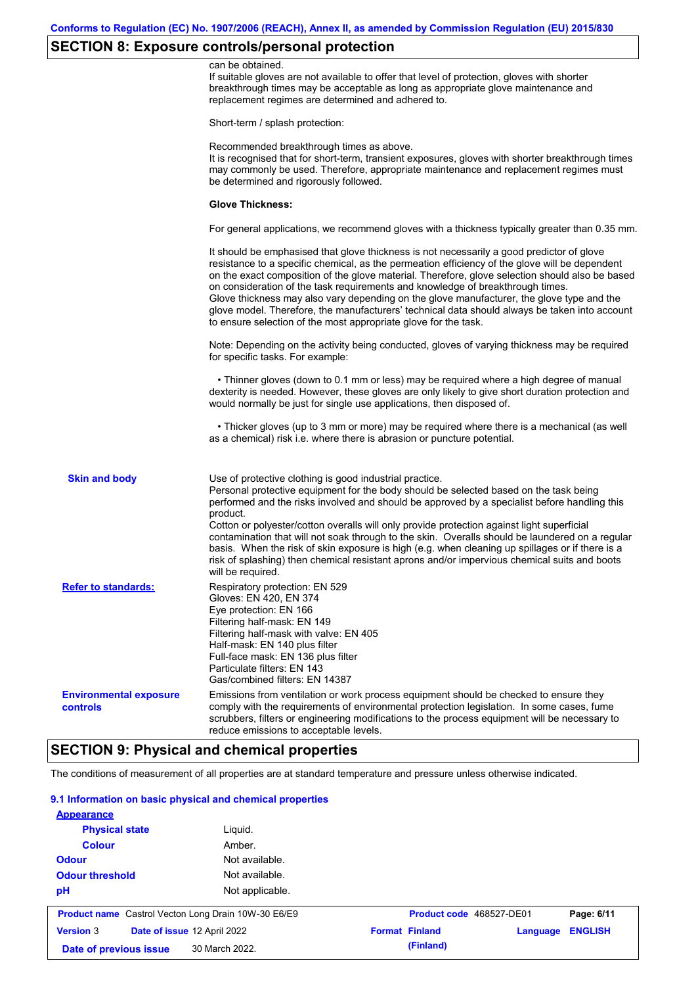# **SECTION 8: Exposure controls/personal protection**

|                                           | can be obtained.<br>If suitable gloves are not available to offer that level of protection, gloves with shorter<br>breakthrough times may be acceptable as long as appropriate glove maintenance and<br>replacement regimes are determined and adhered to.                                                                                                                                                                                                                                                                                                                                                                                        |
|-------------------------------------------|---------------------------------------------------------------------------------------------------------------------------------------------------------------------------------------------------------------------------------------------------------------------------------------------------------------------------------------------------------------------------------------------------------------------------------------------------------------------------------------------------------------------------------------------------------------------------------------------------------------------------------------------------|
|                                           | Short-term / splash protection:                                                                                                                                                                                                                                                                                                                                                                                                                                                                                                                                                                                                                   |
|                                           | Recommended breakthrough times as above.<br>It is recognised that for short-term, transient exposures, gloves with shorter breakthrough times<br>may commonly be used. Therefore, appropriate maintenance and replacement regimes must<br>be determined and rigorously followed.                                                                                                                                                                                                                                                                                                                                                                  |
|                                           | <b>Glove Thickness:</b>                                                                                                                                                                                                                                                                                                                                                                                                                                                                                                                                                                                                                           |
|                                           | For general applications, we recommend gloves with a thickness typically greater than 0.35 mm.                                                                                                                                                                                                                                                                                                                                                                                                                                                                                                                                                    |
|                                           | It should be emphasised that glove thickness is not necessarily a good predictor of glove<br>resistance to a specific chemical, as the permeation efficiency of the glove will be dependent<br>on the exact composition of the glove material. Therefore, glove selection should also be based<br>on consideration of the task requirements and knowledge of breakthrough times.<br>Glove thickness may also vary depending on the glove manufacturer, the glove type and the<br>glove model. Therefore, the manufacturers' technical data should always be taken into account<br>to ensure selection of the most appropriate glove for the task. |
|                                           | Note: Depending on the activity being conducted, gloves of varying thickness may be required<br>for specific tasks. For example:                                                                                                                                                                                                                                                                                                                                                                                                                                                                                                                  |
|                                           | • Thinner gloves (down to 0.1 mm or less) may be required where a high degree of manual<br>dexterity is needed. However, these gloves are only likely to give short duration protection and<br>would normally be just for single use applications, then disposed of.                                                                                                                                                                                                                                                                                                                                                                              |
|                                           | • Thicker gloves (up to 3 mm or more) may be required where there is a mechanical (as well<br>as a chemical) risk i.e. where there is abrasion or puncture potential.                                                                                                                                                                                                                                                                                                                                                                                                                                                                             |
| <b>Skin and body</b>                      | Use of protective clothing is good industrial practice.<br>Personal protective equipment for the body should be selected based on the task being<br>performed and the risks involved and should be approved by a specialist before handling this<br>product.                                                                                                                                                                                                                                                                                                                                                                                      |
|                                           | Cotton or polyester/cotton overalls will only provide protection against light superficial<br>contamination that will not soak through to the skin. Overalls should be laundered on a regular<br>basis. When the risk of skin exposure is high (e.g. when cleaning up spillages or if there is a<br>risk of splashing) then chemical resistant aprons and/or impervious chemical suits and boots<br>will be required.                                                                                                                                                                                                                             |
| <b>Refer to standards:</b>                | Respiratory protection: EN 529<br>Gloves: EN 420, EN 374<br>Eye protection: EN 166<br>Filtering half-mask: EN 149<br>Filtering half-mask with valve: EN 405<br>Half-mask: EN 140 plus filter<br>Full-face mask: EN 136 plus filter<br>Particulate filters: EN 143<br>Gas/combined filters: EN 14387                                                                                                                                                                                                                                                                                                                                               |
| <b>Environmental exposure</b><br>controls | Emissions from ventilation or work process equipment should be checked to ensure they<br>comply with the requirements of environmental protection legislation. In some cases, fume<br>scrubbers, filters or engineering modifications to the process equipment will be necessary to<br>reduce emissions to acceptable levels.                                                                                                                                                                                                                                                                                                                     |

### **SECTION 9: Physical and chemical properties**

The conditions of measurement of all properties are at standard temperature and pressure unless otherwise indicated.

### **9.1 Information on basic physical and chemical properties**

| <b>Product name</b> Castrol Vecton Long Drain 10W-30 E6/E9 |                 | Product code 468527-DE01 | Page: 6/11 |
|------------------------------------------------------------|-----------------|--------------------------|------------|
| pH                                                         | Not applicable. |                          |            |
| <b>Odour threshold</b>                                     | Not available.  |                          |            |
| <b>Odour</b>                                               | Not available.  |                          |            |
| <b>Colour</b>                                              | Amber.          |                          |            |
| <b>Physical state</b>                                      | Liquid.         |                          |            |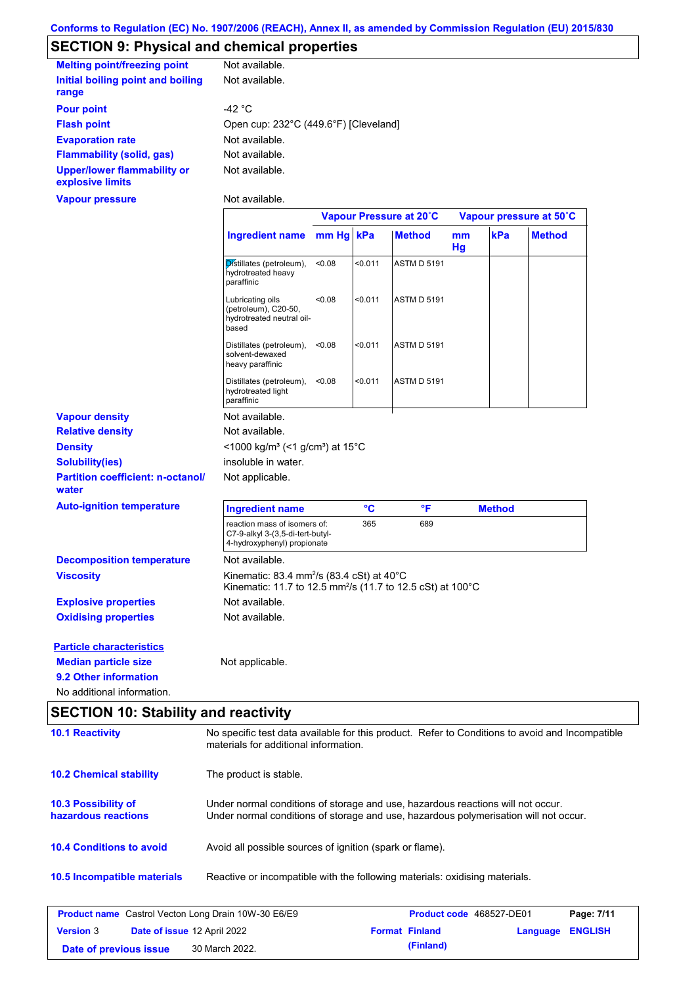# **SECTION 9: Physical and chemical properties**

| <b>Melting point/freezing point</b>                    | Not available.                        |
|--------------------------------------------------------|---------------------------------------|
| Initial boiling point and boiling                      | Not available.                        |
| range                                                  |                                       |
| <b>Pour point</b>                                      | -42 $^{\circ}$ C                      |
| <b>Flash point</b>                                     | Open cup: 232°C (449.6°F) [Cleveland] |
| <b>Evaporation rate</b>                                | Not available.                        |
| <b>Flammability (solid, gas)</b>                       | Not available.                        |
| <b>Upper/lower flammability or</b><br>explosive limits | Not available.                        |
| Vapour pressure                                        | Not available.                        |

|                                                   |                                                                                                                                            | Vapour Pressure at 20°C |         | Vapour pressure at 50°C |                      |               |               |
|---------------------------------------------------|--------------------------------------------------------------------------------------------------------------------------------------------|-------------------------|---------|-------------------------|----------------------|---------------|---------------|
|                                                   | <b>Ingredient name</b>                                                                                                                     | mm Hg kPa               |         | <b>Method</b>           | m <sub>m</sub><br>Hg | kPa           | <b>Method</b> |
|                                                   | Distillates (petroleum),<br>hydrotreated heavy<br>paraffinic                                                                               | < 0.08                  | < 0.011 | <b>ASTM D 5191</b>      |                      |               |               |
|                                                   | Lubricating oils<br>(petroleum), C20-50,<br>hydrotreated neutral oil-<br>based                                                             | < 0.08                  | < 0.011 | <b>ASTM D 5191</b>      |                      |               |               |
|                                                   | Distillates (petroleum),<br>solvent-dewaxed<br>heavy paraffinic                                                                            | < 0.08                  | < 0.011 | <b>ASTM D 5191</b>      |                      |               |               |
|                                                   | Distillates (petroleum),<br>hydrotreated light<br>paraffinic                                                                               | < 0.08                  | < 0.011 | <b>ASTM D 5191</b>      |                      |               |               |
| <b>Vapour density</b>                             | Not available.                                                                                                                             |                         |         |                         |                      |               |               |
| <b>Relative density</b>                           | Not available.                                                                                                                             |                         |         |                         |                      |               |               |
| <b>Density</b>                                    | <1000 kg/m <sup>3</sup> (<1 g/cm <sup>3</sup> ) at 15°C                                                                                    |                         |         |                         |                      |               |               |
| <b>Solubility(ies)</b>                            | insoluble in water.                                                                                                                        |                         |         |                         |                      |               |               |
| <b>Partition coefficient: n-octanol/</b><br>water | Not applicable.                                                                                                                            |                         |         |                         |                      |               |               |
| <b>Auto-ignition temperature</b>                  | <b>Ingredient name</b>                                                                                                                     |                         | °C      | $\mathsf{P}$            |                      | <b>Method</b> |               |
|                                                   | reaction mass of isomers of:<br>C7-9-alkyl 3-(3,5-di-tert-butyl-<br>4-hydroxyphenyl) propionate                                            |                         | 365     | 689                     |                      |               |               |
| <b>Decomposition temperature</b>                  | Not available.                                                                                                                             |                         |         |                         |                      |               |               |
| <b>Viscosity</b>                                  | Kinematic: 83.4 mm <sup>2</sup> /s (83.4 cSt) at 40 $^{\circ}$ C<br>Kinematic: 11.7 to 12.5 mm <sup>2</sup> /s (11.7 to 12.5 cSt) at 100°C |                         |         |                         |                      |               |               |
| <b>Explosive properties</b>                       | Not available.                                                                                                                             |                         |         |                         |                      |               |               |
| <b>Oxidising properties</b>                       | Not available.                                                                                                                             |                         |         |                         |                      |               |               |
| <b>Particle characteristics</b>                   |                                                                                                                                            |                         |         |                         |                      |               |               |
| <b>Median particle size</b>                       | Not applicable.                                                                                                                            |                         |         |                         |                      |               |               |
| 9.2 Other information                             |                                                                                                                                            |                         |         |                         |                      |               |               |
| No additional information.                        |                                                                                                                                            |                         |         |                         |                      |               |               |

# **SECTION 10: Stability and reactivity**

| <b>10.1 Reactivity</b>                                     | No specific test data available for this product. Refer to Conditions to avoid and Incompatible<br>materials for additional information.                                |                                 |          |                |
|------------------------------------------------------------|-------------------------------------------------------------------------------------------------------------------------------------------------------------------------|---------------------------------|----------|----------------|
| <b>10.2 Chemical stability</b>                             | The product is stable.                                                                                                                                                  |                                 |          |                |
| <b>10.3 Possibility of</b><br>hazardous reactions          | Under normal conditions of storage and use, hazardous reactions will not occur.<br>Under normal conditions of storage and use, hazardous polymerisation will not occur. |                                 |          |                |
| <b>10.4 Conditions to avoid</b>                            | Avoid all possible sources of ignition (spark or flame).                                                                                                                |                                 |          |                |
| <b>10.5 Incompatible materials</b>                         | Reactive or incompatible with the following materials: oxidising materials.                                                                                             |                                 |          |                |
| <b>Product name</b> Castrol Vecton Long Drain 10W-30 E6/E9 |                                                                                                                                                                         | <b>Product code</b> 468527-DE01 |          | Page: 7/11     |
| <b>Version 3</b><br>Date of issue 12 April 2022            |                                                                                                                                                                         | <b>Format Finland</b>           | Language | <b>ENGLISH</b> |

**Date of previous issue (Finland)** 30 March 2022.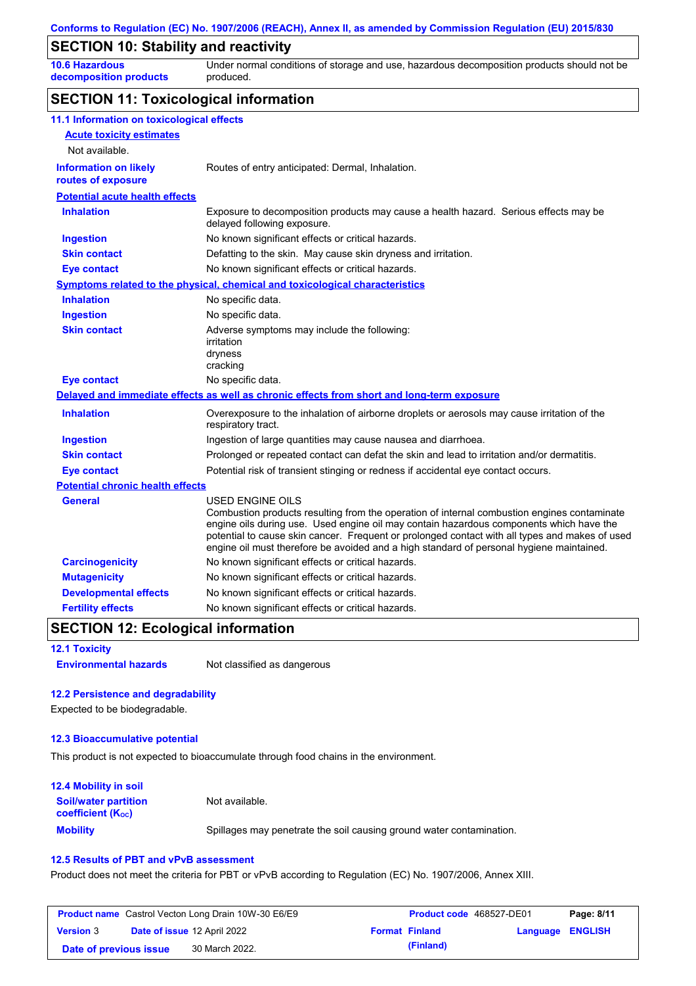### **SECTION 10: Stability and reactivity**

**10.6 Hazardous decomposition products** Under normal conditions of storage and use, hazardous decomposition products should not be produced.

### **SECTION 11: Toxicological information**

| 11.1 Information on toxicological effects          |                                                                                                                                                                                                                                                                                                                                                                                                                 |
|----------------------------------------------------|-----------------------------------------------------------------------------------------------------------------------------------------------------------------------------------------------------------------------------------------------------------------------------------------------------------------------------------------------------------------------------------------------------------------|
| <b>Acute toxicity estimates</b>                    |                                                                                                                                                                                                                                                                                                                                                                                                                 |
| Not available.                                     |                                                                                                                                                                                                                                                                                                                                                                                                                 |
| <b>Information on likely</b><br>routes of exposure | Routes of entry anticipated: Dermal, Inhalation.                                                                                                                                                                                                                                                                                                                                                                |
| <b>Potential acute health effects</b>              |                                                                                                                                                                                                                                                                                                                                                                                                                 |
| <b>Inhalation</b>                                  | Exposure to decomposition products may cause a health hazard. Serious effects may be<br>delayed following exposure.                                                                                                                                                                                                                                                                                             |
| <b>Ingestion</b>                                   | No known significant effects or critical hazards.                                                                                                                                                                                                                                                                                                                                                               |
| <b>Skin contact</b>                                | Defatting to the skin. May cause skin dryness and irritation.                                                                                                                                                                                                                                                                                                                                                   |
| <b>Eye contact</b>                                 | No known significant effects or critical hazards.                                                                                                                                                                                                                                                                                                                                                               |
|                                                    | Symptoms related to the physical, chemical and toxicological characteristics                                                                                                                                                                                                                                                                                                                                    |
| <b>Inhalation</b>                                  | No specific data.                                                                                                                                                                                                                                                                                                                                                                                               |
| <b>Ingestion</b>                                   | No specific data.                                                                                                                                                                                                                                                                                                                                                                                               |
| <b>Skin contact</b>                                | Adverse symptoms may include the following:<br>irritation<br>dryness<br>cracking                                                                                                                                                                                                                                                                                                                                |
| <b>Eye contact</b>                                 | No specific data.                                                                                                                                                                                                                                                                                                                                                                                               |
|                                                    | Delayed and immediate effects as well as chronic effects from short and long-term exposure                                                                                                                                                                                                                                                                                                                      |
| <b>Inhalation</b>                                  | Overexposure to the inhalation of airborne droplets or aerosols may cause irritation of the<br>respiratory tract.                                                                                                                                                                                                                                                                                               |
| <b>Ingestion</b>                                   | Ingestion of large quantities may cause nausea and diarrhoea.                                                                                                                                                                                                                                                                                                                                                   |
| <b>Skin contact</b>                                | Prolonged or repeated contact can defat the skin and lead to irritation and/or dermatitis.                                                                                                                                                                                                                                                                                                                      |
| <b>Eye contact</b>                                 | Potential risk of transient stinging or redness if accidental eye contact occurs.                                                                                                                                                                                                                                                                                                                               |
| <b>Potential chronic health effects</b>            |                                                                                                                                                                                                                                                                                                                                                                                                                 |
| General                                            | <b>USED ENGINE OILS</b><br>Combustion products resulting from the operation of internal combustion engines contaminate<br>engine oils during use. Used engine oil may contain hazardous components which have the<br>potential to cause skin cancer. Frequent or prolonged contact with all types and makes of used<br>engine oil must therefore be avoided and a high standard of personal hygiene maintained. |
| <b>Carcinogenicity</b>                             | No known significant effects or critical hazards.                                                                                                                                                                                                                                                                                                                                                               |
| <b>Mutagenicity</b>                                | No known significant effects or critical hazards.                                                                                                                                                                                                                                                                                                                                                               |
| <b>Developmental effects</b>                       | No known significant effects or critical hazards.                                                                                                                                                                                                                                                                                                                                                               |
| <b>Fertility effects</b>                           | No known significant effects or critical hazards.                                                                                                                                                                                                                                                                                                                                                               |

### **SECTION 12: Ecological information**

**Environmental hazards** Not classified as dangerous

#### **12.2 Persistence and degradability**

Expected to be biodegradable.

#### **12.3 Bioaccumulative potential**

This product is not expected to bioaccumulate through food chains in the environment.

| <b>12.4 Mobility in soil</b>                                  |                                                                      |
|---------------------------------------------------------------|----------------------------------------------------------------------|
| <b>Soil/water partition</b><br>coefficient (K <sub>oc</sub> ) | Not available.                                                       |
| <b>Mobility</b>                                               | Spillages may penetrate the soil causing ground water contamination. |

#### **12.5 Results of PBT and vPvB assessment**

Product does not meet the criteria for PBT or vPvB according to Regulation (EC) No. 1907/2006, Annex XIII.

| <b>Product name</b> Castrol Vecton Long Drain 10W-30 E6/E9 |  |                                    | Product code 468527-DE01 |                       | Page: 8/11              |  |
|------------------------------------------------------------|--|------------------------------------|--------------------------|-----------------------|-------------------------|--|
| <b>Version 3</b>                                           |  | <b>Date of issue 12 April 2022</b> |                          | <b>Format Finland</b> | <b>Language ENGLISH</b> |  |
| Date of previous issue                                     |  | 30 March 2022.                     |                          | (Finland)             |                         |  |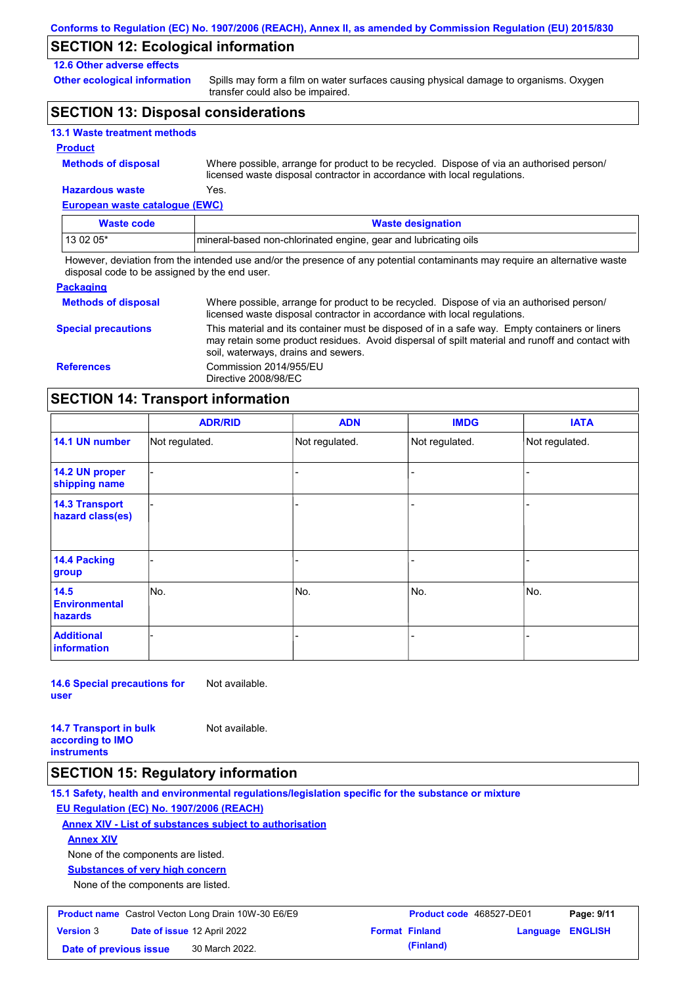### **SECTION 12: Ecological information**

#### **12.6 Other adverse effects**

**Other ecological information**

Spills may form a film on water surfaces causing physical damage to organisms. Oxygen transfer could also be impaired.

### **SECTION 13: Disposal considerations**

|  |  | <b>13.1 Waste treatment methods</b> |  |
|--|--|-------------------------------------|--|
|--|--|-------------------------------------|--|

#### **Product**

**Methods of disposal**

**Hazardous waste** Yes. Where possible, arrange for product to be recycled. Dispose of via an authorised person/ licensed waste disposal contractor in accordance with local regulations.

**European waste catalogue (EWC)**

| Waste code | <b>Waste designation</b>                                         |
|------------|------------------------------------------------------------------|
| 13 02 05*  | Imineral-based non-chlorinated engine, gear and lubricating oils |

However, deviation from the intended use and/or the presence of any potential contaminants may require an alternative waste disposal code to be assigned by the end user.

| <b>Packaging</b>           |                                                                                                                                                                                                                                         |
|----------------------------|-----------------------------------------------------------------------------------------------------------------------------------------------------------------------------------------------------------------------------------------|
| <b>Methods of disposal</b> | Where possible, arrange for product to be recycled. Dispose of via an authorised person/<br>licensed waste disposal contractor in accordance with local regulations.                                                                    |
| <b>Special precautions</b> | This material and its container must be disposed of in a safe way. Empty containers or liners<br>may retain some product residues. Avoid dispersal of spilt material and runoff and contact with<br>soil, waterways, drains and sewers. |
| <b>References</b>          | Commission 2014/955/EU<br>Directive 2008/98/EC                                                                                                                                                                                          |

### **SECTION 14: Transport information**

|                                           | <b>ADR/RID</b> | <b>ADN</b>     | <b>IMDG</b>    | <b>IATA</b>    |
|-------------------------------------------|----------------|----------------|----------------|----------------|
| 14.1 UN number                            | Not regulated. | Not regulated. | Not regulated. | Not regulated. |
| 14.2 UN proper<br>shipping name           |                |                |                |                |
| <b>14.3 Transport</b><br>hazard class(es) |                |                |                |                |
| <b>14.4 Packing</b><br>group              |                |                |                |                |
| 14.5<br><b>Environmental</b><br>hazards   | No.            | No.            | No.            | No.            |
| <b>Additional</b><br>information          |                |                |                |                |

**14.6 Special precautions for user** Not available.

**14.7 Transport in bulk according to IMO instruments** Not available.

### **SECTION 15: Regulatory information**

**15.1 Safety, health and environmental regulations/legislation specific for the substance or mixture EU Regulation (EC) No. 1907/2006 (REACH)**

#### **Annex XIV - List of substances subject to authorisation**

**Annex XIV**

None of the components are listed.

**Substances of very high concern**

None of the components are listed.

| <b>Product name</b> Castrol Vecton Long Drain 10W-30 E6/E9 |  | <b>Product code</b> 468527-DE01 |  | Page: 9/11            |                         |  |
|------------------------------------------------------------|--|---------------------------------|--|-----------------------|-------------------------|--|
| <b>Version</b> 3                                           |  | Date of issue 12 April 2022     |  | <b>Format Finland</b> | <b>Language ENGLISH</b> |  |
| Date of previous issue                                     |  | 30 March 2022.                  |  | (Finland)             |                         |  |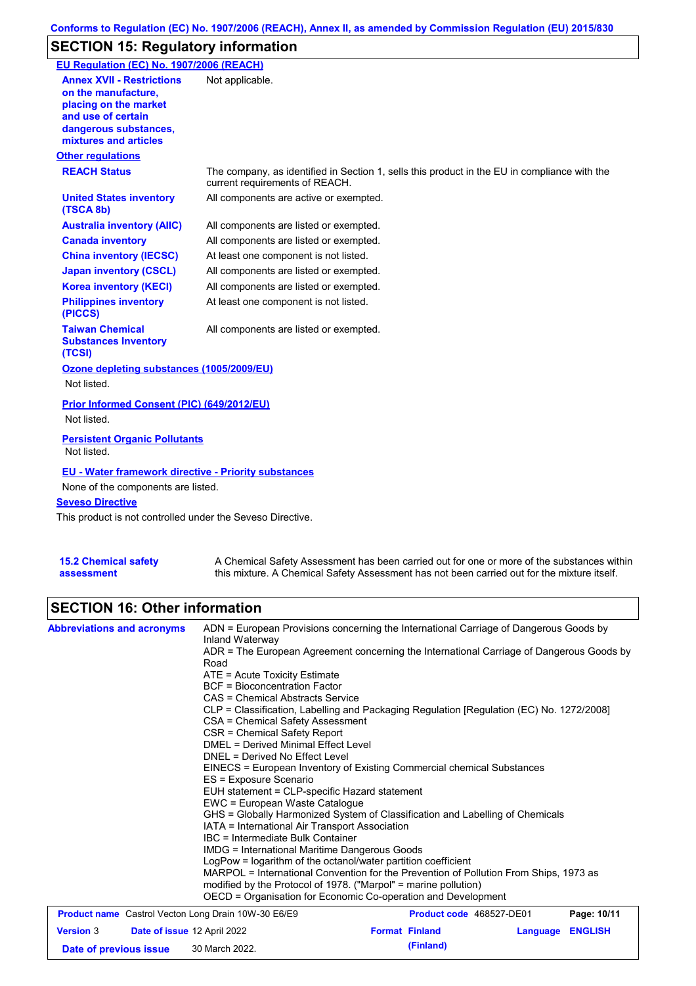### **SECTION 15: Regulatory information**

| EU Regulation (EC) No. 1907/2006 (REACH)                                                                                                                 |                                                                                                                                |
|----------------------------------------------------------------------------------------------------------------------------------------------------------|--------------------------------------------------------------------------------------------------------------------------------|
| <b>Annex XVII - Restrictions</b><br>on the manufacture.<br>placing on the market<br>and use of certain<br>dangerous substances,<br>mixtures and articles | Not applicable.                                                                                                                |
| <b>Other regulations</b>                                                                                                                                 |                                                                                                                                |
| <b>REACH Status</b>                                                                                                                                      | The company, as identified in Section 1, sells this product in the EU in compliance with the<br>current requirements of REACH. |
| <b>United States inventory</b><br>(TSCA 8b)                                                                                                              | All components are active or exempted.                                                                                         |
| <b>Australia inventory (AIIC)</b>                                                                                                                        | All components are listed or exempted.                                                                                         |
| <b>Canada inventory</b>                                                                                                                                  | All components are listed or exempted.                                                                                         |
| <b>China inventory (IECSC)</b>                                                                                                                           | At least one component is not listed.                                                                                          |
| <b>Japan inventory (CSCL)</b>                                                                                                                            | All components are listed or exempted.                                                                                         |
| <b>Korea inventory (KECI)</b>                                                                                                                            | All components are listed or exempted.                                                                                         |
| <b>Philippines inventory</b><br>(PICCS)                                                                                                                  | At least one component is not listed.                                                                                          |
| <b>Taiwan Chemical</b><br><b>Substances Inventory</b><br>(TCSI)                                                                                          | All components are listed or exempted.                                                                                         |
| Ozone depleting substances (1005/2009/EU)                                                                                                                |                                                                                                                                |
| Not listed.                                                                                                                                              |                                                                                                                                |
| Prior Informed Consent (PIC) (649/2012/EU)<br>Not listed.                                                                                                |                                                                                                                                |
| <b>Persistent Organic Pollutants</b><br>Not listed.                                                                                                      |                                                                                                                                |
| <b>EU - Water framework directive - Priority substances</b><br>None of the components are listed.<br><b>Seveso Directive</b>                             |                                                                                                                                |
| This product is not controlled under the Seveso Directive.                                                                                               |                                                                                                                                |
|                                                                                                                                                          |                                                                                                                                |

| <b>15.2 Chemical safety</b> |  |
|-----------------------------|--|
| assessment                  |  |

A Chemical Safety Assessment has been carried out for one or more of the substances within this mixture. A Chemical Safety Assessment has not been carried out for the mixture itself.

# **SECTION 16: Other information**

| <b>Abbreviations and acronyms</b>                                         | ADN = European Provisions concerning the International Carriage of Dangerous Goods by<br>Inland Waterway<br>ADR = The European Agreement concerning the International Carriage of Dangerous Goods by<br>Road<br>ATE = Acute Toxicity Estimate<br><b>BCF</b> = Bioconcentration Factor<br>CAS = Chemical Abstracts Service<br>CLP = Classification, Labelling and Packaging Regulation [Regulation (EC) No. 1272/2008]<br>CSA = Chemical Safety Assessment<br>CSR = Chemical Safety Report<br><b>DMEL = Derived Minimal Effect Level</b><br>DNEL = Derived No Effect Level<br>EINECS = European Inventory of Existing Commercial chemical Substances<br>ES = Exposure Scenario<br>EUH statement = CLP-specific Hazard statement<br>EWC = European Waste Catalogue<br>GHS = Globally Harmonized System of Classification and Labelling of Chemicals<br>IATA = International Air Transport Association<br>IBC = Intermediate Bulk Container<br><b>IMDG</b> = International Maritime Dangerous Goods<br>LogPow = logarithm of the octanol/water partition coefficient<br>MARPOL = International Convention for the Prevention of Pollution From Ships, 1973 as<br>modified by the Protocol of 1978. ("Marpol" = marine pollution) |                                    |          |                |
|---------------------------------------------------------------------------|-------------------------------------------------------------------------------------------------------------------------------------------------------------------------------------------------------------------------------------------------------------------------------------------------------------------------------------------------------------------------------------------------------------------------------------------------------------------------------------------------------------------------------------------------------------------------------------------------------------------------------------------------------------------------------------------------------------------------------------------------------------------------------------------------------------------------------------------------------------------------------------------------------------------------------------------------------------------------------------------------------------------------------------------------------------------------------------------------------------------------------------------------------------------------------------------------------------------------------|------------------------------------|----------|----------------|
|                                                                           | OECD = Organisation for Economic Co-operation and Development                                                                                                                                                                                                                                                                                                                                                                                                                                                                                                                                                                                                                                                                                                                                                                                                                                                                                                                                                                                                                                                                                                                                                                 |                                    |          |                |
| <b>Product name</b> Castrol Vecton Long Drain 10W-30 E6/E9                |                                                                                                                                                                                                                                                                                                                                                                                                                                                                                                                                                                                                                                                                                                                                                                                                                                                                                                                                                                                                                                                                                                                                                                                                                               | Product code 468527-DE01           |          | Page: 10/11    |
| <b>Version 3</b><br>Date of issue 12 April 2022<br>Date of previous issue | 30 March 2022.                                                                                                                                                                                                                                                                                                                                                                                                                                                                                                                                                                                                                                                                                                                                                                                                                                                                                                                                                                                                                                                                                                                                                                                                                | <b>Format Finland</b><br>(Finland) | Language | <b>ENGLISH</b> |